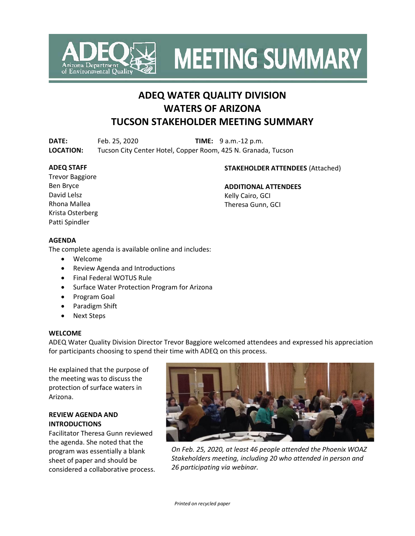

**MEETING SUMMARY** 

# **ADEQ WATER QUALITY DIVISION WATERS OF ARIZONA TUCSON STAKEHOLDER MEETING SUMMARY**

**DATE:** Feb. 25, 2020 **TIME:** 9 a.m.-12 p.m. **LOCATION:** Tucson City Center Hotel, Copper Room, 425 N. Granada, Tucson

### **ADEQ STAFF**

## **STAKEHOLDER ATTENDEES** (Attached)

Trevor Baggiore Ben Bryce David Lelsz Rhona Mallea Krista Osterberg Patti Spindler

**ADDITIONAL ATTENDEES** Kelly Cairo, GCI Theresa Gunn, GCI

## **AGENDA**

The complete agenda is available online and includes:

- Welcome
- Review Agenda and Introductions
- Final Federal WOTUS Rule
- Surface Water Protection Program for Arizona
- Program Goal
- Paradigm Shift
- Next Steps

## **WELCOME**

ADEQ Water Quality Division Director Trevor Baggiore welcomed attendees and expressed his appreciation for participants choosing to spend their time with ADEQ on this process.

He explained that the purpose of the meeting was to discuss the protection of surface waters in Arizona.

## **REVIEW AGENDA AND INTRODUCTIONS**

Facilitator Theresa Gunn reviewed the agenda. She noted that the program was essentially a blank sheet of paper and should be considered a collaborative process.



*On Feb. 25, 2020, at least 46 people attended the Phoenix WOAZ Stakeholders meeting, including 20 who attended in person and 26 participating via webinar.*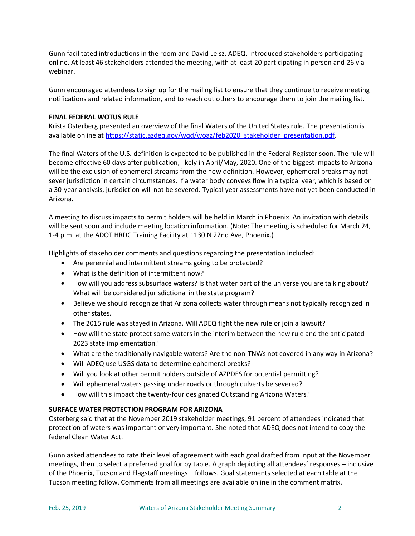Gunn facilitated introductions in the room and David Lelsz, ADEQ, introduced stakeholders participating online. At least 46 stakeholders attended the meeting, with at least 20 participating in person and 26 via webinar.

Gunn encouraged attendees to sign up for the mailing list to ensure that they continue to receive meeting notifications and related information, and to reach out others to encourage them to join the mailing list.

### **FINAL FEDERAL WOTUS RULE**

Krista Osterberg presented an overview of the final Waters of the United States rule. The presentation is available online at [https://static.azdeq.gov/wqd/woaz/feb2020\\_stakeholder\\_presentation.pdf.](https://static.azdeq.gov/wqd/woaz/feb2020_stakeholder_presentation.pdf)

The final Waters of the U.S. definition is expected to be published in the Federal Register soon. The rule will become effective 60 days after publication, likely in April/May, 2020. One of the biggest impacts to Arizona will be the exclusion of ephemeral streams from the new definition. However, ephemeral breaks may not sever jurisdiction in certain circumstances. If a water body conveys flow in a typical year, which is based on a 30-year analysis, jurisdiction will not be severed. Typical year assessments have not yet been conducted in Arizona.

A meeting to discuss impacts to permit holders will be held in March in Phoenix. An invitation with details will be sent soon and include meeting location information. (Note: The meeting is scheduled for March 24, 1-4 p.m. at the ADOT HRDC Training Facility at 1130 N 22nd Ave, Phoenix.)

Highlights of stakeholder comments and questions regarding the presentation included:

- Are perennial and intermittent streams going to be protected?
- What is the definition of intermittent now?
- How will you address subsurface waters? Is that water part of the universe you are talking about? What will be considered jurisdictional in the state program?
- Believe we should recognize that Arizona collects water through means not typically recognized in other states.
- The 2015 rule was stayed in Arizona. Will ADEQ fight the new rule or join a lawsuit?
- How will the state protect some waters in the interim between the new rule and the anticipated 2023 state implementation?
- What are the traditionally navigable waters? Are the non-TNWs not covered in any way in Arizona?
- Will ADEQ use USGS data to determine ephemeral breaks?
- Will you look at other permit holders outside of AZPDES for potential permitting?
- Will ephemeral waters passing under roads or through culverts be severed?
- How will this impact the twenty-four designated Outstanding Arizona Waters?

#### **SURFACE WATER PROTECTION PROGRAM FOR ARIZONA**

Osterberg said that at the November 2019 stakeholder meetings, 91 percent of attendees indicated that protection of waters was important or very important. She noted that ADEQ does not intend to copy the federal Clean Water Act.

Gunn asked attendees to rate their level of agreement with each goal drafted from input at the November meetings, then to select a preferred goal for by table. A graph depicting all attendees' responses – inclusive of the Phoenix, Tucson and Flagstaff meetings – follows. Goal statements selected at each table at the Tucson meeting follow. Comments from all meetings are available online in the comment matrix.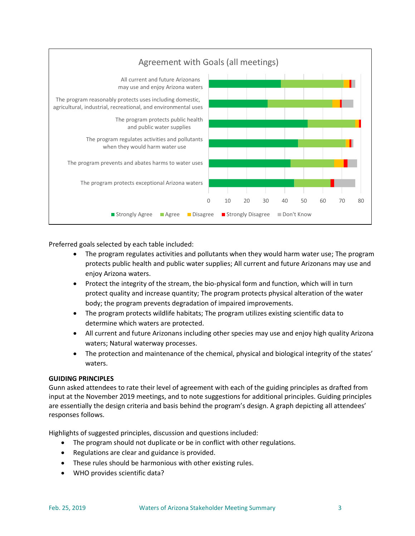

Preferred goals selected by each table included:

- The program regulates activities and pollutants when they would harm water use; The program protects public health and public water supplies; All current and future Arizonans may use and enjoy Arizona waters.
- Protect the integrity of the stream, the bio-physical form and function, which will in turn protect quality and increase quantity; The program protects physical alteration of the water body; the program prevents degradation of impaired improvements.
- The program protects wildlife habitats; The program utilizes existing scientific data to determine which waters are protected.
- All current and future Arizonans including other species may use and enjoy high quality Arizona waters; Natural waterway processes.
- The protection and maintenance of the chemical, physical and biological integrity of the states' waters.

## **GUIDING PRINCIPLES**

Gunn asked attendees to rate their level of agreement with each of the guiding principles as drafted from input at the November 2019 meetings, and to note suggestions for additional principles. Guiding principles are essentially the design criteria and basis behind the program's design. A graph depicting all attendees' responses follows.

Highlights of suggested principles, discussion and questions included:

- The program should not duplicate or be in conflict with other regulations.
- Regulations are clear and guidance is provided.
- These rules should be harmonious with other existing rules.
- WHO provides scientific data?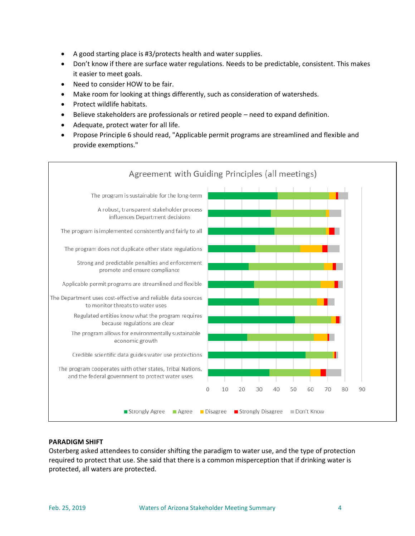- A good starting place is #3/protects health and water supplies.
- Don't know if there are surface water regulations. Needs to be predictable, consistent. This makes it easier to meet goals.
- Need to consider HOW to be fair.
- Make room for looking at things differently, such as consideration of watersheds.
- Protect wildlife habitats.
- Believe stakeholders are professionals or retired people need to expand definition.
- Adequate, protect water for all life.
- Propose Principle 6 should read, "Applicable permit programs are streamlined and flexible and provide exemptions."



## **PARADIGM SHIFT**

Osterberg asked attendees to consider shifting the paradigm to water use, and the type of protection required to protect that use. She said that there is a common misperception that if drinking water is protected, all waters are protected.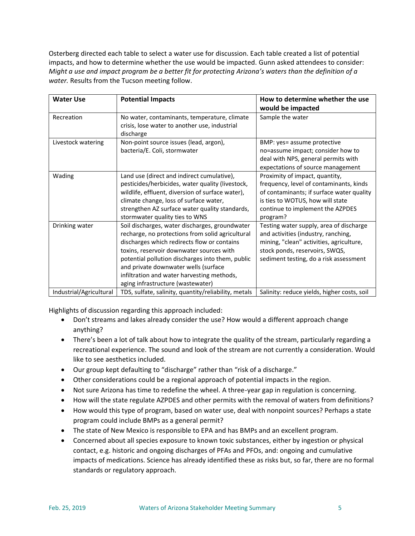Osterberg directed each table to select a water use for discussion. Each table created a list of potential impacts, and how to determine whether the use would be impacted. Gunn asked attendees to consider: *Might a use and impact program be a better fit for protecting Arizona's waters than the definition of a water.* Results from the Tucson meeting follow.

| <b>Water Use</b>        | <b>Potential Impacts</b>                                                                                                                                                                                                                                                                                                                                                     | How to determine whether the use<br>would be impacted                                                                                                                                                      |
|-------------------------|------------------------------------------------------------------------------------------------------------------------------------------------------------------------------------------------------------------------------------------------------------------------------------------------------------------------------------------------------------------------------|------------------------------------------------------------------------------------------------------------------------------------------------------------------------------------------------------------|
| Recreation              | No water, contaminants, temperature, climate<br>crisis, lose water to another use, industrial<br>discharge                                                                                                                                                                                                                                                                   | Sample the water                                                                                                                                                                                           |
| Livestock watering      | Non-point source issues (lead, argon),<br>bacteria/E. Coli, stormwater                                                                                                                                                                                                                                                                                                       | BMP: yes= assume protective<br>no=assume impact; consider how to<br>deal with NPS, general permits with<br>expectations of source management                                                               |
| Wading                  | Land use (direct and indirect cumulative),<br>pesticides/herbicides, water quality (livestock,<br>wildlife, effluent, diversion of surface water),<br>climate change, loss of surface water,<br>strengthen AZ surface water quality standards,<br>stormwater quality ties to WNS                                                                                             | Proximity of impact, quantity,<br>frequency, level of contaminants, kinds<br>of contaminants; if surface water quality<br>is ties to WOTUS, how will state<br>continue to implement the AZPDES<br>program? |
| Drinking water          | Soil discharges, water discharges, groundwater<br>recharge, no protections from solid agricultural<br>discharges which redirects flow or contains<br>toxins, reservoir downwater sources with<br>potential pollution discharges into them, public<br>and private downwater wells (surface<br>infiltration and water harvesting methods,<br>aging infrastructure (wastewater) | Testing water supply, area of discharge<br>and activities (industry, ranching,<br>mining, "clean" activities, agriculture,<br>stock ponds, reservoirs, SWQS,<br>sediment testing, do a risk assessment     |
| Industrial/Agricultural | TDS, sulfate, salinity, quantity/reliability, metals                                                                                                                                                                                                                                                                                                                         | Salinity: reduce yields, higher costs, soil                                                                                                                                                                |

Highlights of discussion regarding this approach included:

- Don't streams and lakes already consider the use? How would a different approach change anything?
- There's been a lot of talk about how to integrate the quality of the stream, particularly regarding a recreational experience. The sound and look of the stream are not currently a consideration. Would like to see aesthetics included.
- Our group kept defaulting to "discharge" rather than "risk of a discharge."
- Other considerations could be a regional approach of potential impacts in the region.
- Not sure Arizona has time to redefine the wheel. A three-year gap in regulation is concerning.
- How will the state regulate AZPDES and other permits with the removal of waters from definitions?
- How would this type of program, based on water use, deal with nonpoint sources? Perhaps a state program could include BMPs as a general permit?
- The state of New Mexico is responsible to EPA and has BMPs and an excellent program.
- Concerned about all species exposure to known toxic substances, either by ingestion or physical contact, e.g. historic and ongoing discharges of PFAs and PFOs, and: ongoing and cumulative impacts of medications. Science has already identified these as risks but, so far, there are no formal standards or regulatory approach.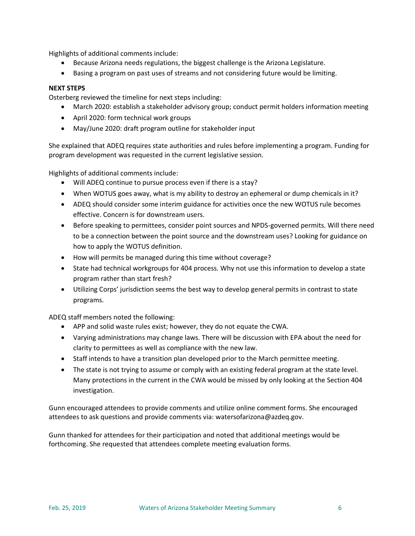Highlights of additional comments include:

- Because Arizona needs regulations, the biggest challenge is the Arizona Legislature.
- Basing a program on past uses of streams and not considering future would be limiting.

### **NEXT STEPS**

Osterberg reviewed the timeline for next steps including:

- March 2020: establish a stakeholder advisory group; conduct permit holders information meeting
- April 2020: form technical work groups
- May/June 2020: draft program outline for stakeholder input

She explained that ADEQ requires state authorities and rules before implementing a program. Funding for program development was requested in the current legislative session.

Highlights of additional comments include:

- Will ADEQ continue to pursue process even if there is a stay?
- When WOTUS goes away, what is my ability to destroy an ephemeral or dump chemicals in it?
- ADEQ should consider some interim guidance for activities once the new WOTUS rule becomes effective. Concern is for downstream users.
- Before speaking to permittees, consider point sources and NPDS-governed permits. Will there need to be a connection between the point source and the downstream uses? Looking for guidance on how to apply the WOTUS definition.
- How will permits be managed during this time without coverage?
- State had technical workgroups for 404 process. Why not use this information to develop a state program rather than start fresh?
- Utilizing Corps' jurisdiction seems the best way to develop general permits in contrast to state programs.

ADEQ staff members noted the following:

- APP and solid waste rules exist; however, they do not equate the CWA.
- Varying administrations may change laws. There will be discussion with EPA about the need for clarity to permittees as well as compliance with the new law.
- Staff intends to have a transition plan developed prior to the March permittee meeting.
- The state is not trying to assume or comply with an existing federal program at the state level. Many protections in the current in the CWA would be missed by only looking at the Section 404 investigation.

Gunn encouraged attendees to provide comments and utilize online comment forms. She encouraged attendees to ask questions and provide comments via: [watersofarizona@azdeq.gov.](mailto:watersofarizona@azdeq.gov?subject=WOAZ)

Gunn thanked for attendees for their participation and noted that additional meetings would be forthcoming. She requested that attendees complete meeting evaluation forms.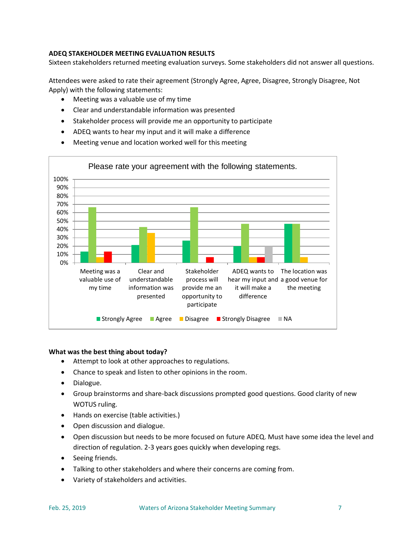## **ADEQ STAKEHOLDER MEETING EVALUATION RESULTS**

Sixteen stakeholders returned meeting evaluation surveys. Some stakeholders did not answer all questions.

Attendees were asked to rate their agreement (Strongly Agree, Agree, Disagree, Strongly Disagree, Not Apply) with the following statements:

- Meeting was a valuable use of my time
- Clear and understandable information was presented
- Stakeholder process will provide me an opportunity to participate
- ADEQ wants to hear my input and it will make a difference
- Meeting venue and location worked well for this meeting



#### **What was the best thing about today?**

- Attempt to look at other approaches to regulations.
- Chance to speak and listen to other opinions in the room.
- Dialogue.
- Group brainstorms and share-back discussions prompted good questions. Good clarity of new WOTUS ruling.
- Hands on exercise (table activities.)
- Open discussion and dialogue.
- Open discussion but needs to be more focused on future ADEQ. Must have some idea the level and direction of regulation. 2-3 years goes quickly when developing regs.
- Seeing friends.
- Talking to other stakeholders and where their concerns are coming from.
- Variety of stakeholders and activities.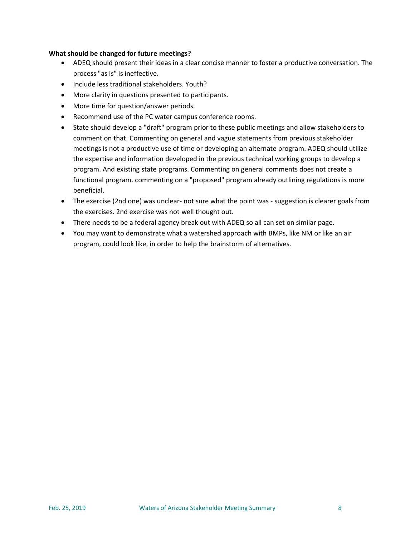## **What should be changed for future meetings?**

- ADEQ should present their ideas in a clear concise manner to foster a productive conversation. The process "as is" is ineffective.
- Include less traditional stakeholders. Youth?
- More clarity in questions presented to participants.
- More time for question/answer periods.
- Recommend use of the PC water campus conference rooms.
- State should develop a "draft" program prior to these public meetings and allow stakeholders to comment on that. Commenting on general and vague statements from previous stakeholder meetings is not a productive use of time or developing an alternate program. ADEQ should utilize the expertise and information developed in the previous technical working groups to develop a program. And existing state programs. Commenting on general comments does not create a functional program. commenting on a "proposed" program already outlining regulations is more beneficial.
- The exercise (2nd one) was unclear- not sure what the point was suggestion is clearer goals from the exercises. 2nd exercise was not well thought out.
- There needs to be a federal agency break out with ADEQ so all can set on similar page.
- You may want to demonstrate what a watershed approach with BMPs, like NM or like an air program, could look like, in order to help the brainstorm of alternatives.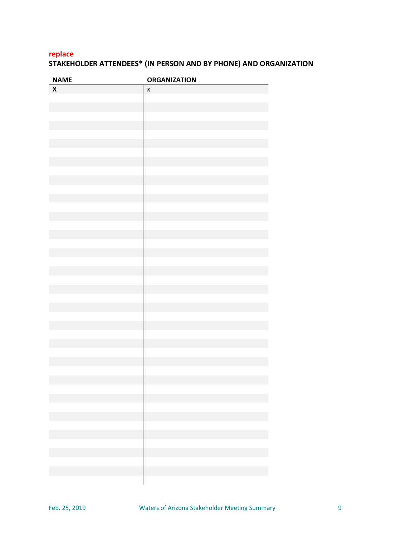## **replace STAKEHOLDER ATTENDEES\* (IN PERSON AND BY PHONE) AND ORGANIZATION**

| <b>NAME</b>                                                                | <b>ORGANIZATION</b>                                                        |
|----------------------------------------------------------------------------|----------------------------------------------------------------------------|
| $\boldsymbol{\mathsf{X}}$                                                  | $\pmb{\chi}$                                                               |
|                                                                            |                                                                            |
|                                                                            |                                                                            |
|                                                                            |                                                                            |
|                                                                            |                                                                            |
|                                                                            |                                                                            |
|                                                                            |                                                                            |
|                                                                            |                                                                            |
|                                                                            |                                                                            |
|                                                                            |                                                                            |
|                                                                            |                                                                            |
|                                                                            |                                                                            |
|                                                                            |                                                                            |
|                                                                            |                                                                            |
|                                                                            |                                                                            |
|                                                                            |                                                                            |
|                                                                            |                                                                            |
|                                                                            |                                                                            |
|                                                                            |                                                                            |
|                                                                            |                                                                            |
|                                                                            |                                                                            |
|                                                                            |                                                                            |
|                                                                            |                                                                            |
|                                                                            |                                                                            |
|                                                                            |                                                                            |
|                                                                            |                                                                            |
|                                                                            |                                                                            |
|                                                                            |                                                                            |
|                                                                            |                                                                            |
|                                                                            |                                                                            |
|                                                                            |                                                                            |
|                                                                            |                                                                            |
| the control of the control of the control of the control of the control of | the control of the control of the control of the control of the control of |
|                                                                            |                                                                            |
|                                                                            |                                                                            |
|                                                                            |                                                                            |
|                                                                            |                                                                            |
|                                                                            |                                                                            |
|                                                                            |                                                                            |
|                                                                            |                                                                            |
|                                                                            |                                                                            |
|                                                                            |                                                                            |
| and the control of the control of the                                      |                                                                            |
|                                                                            |                                                                            |